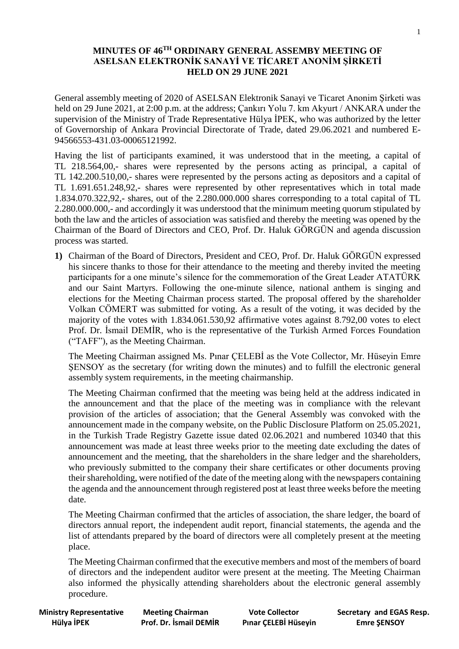## **MINUTES OF 46 TH ORDINARY GENERAL ASSEMBY MEETING OF ASELSAN ELEKTRONİK SANAYİ VE TİCARET ANONİM ŞİRKETİ HELD ON 29 JUNE 2021**

General assembly meeting of 2020 of ASELSAN Elektronik Sanayi ve Ticaret Anonim Şirketi was held on 29 June 2021, at 2:00 p.m. at the address; Çankırı Yolu 7. km Akyurt / ANKARA under the supervision of the Ministry of Trade Representative Hülya İPEK, who was authorized by the letter of Governorship of Ankara Provincial Directorate of Trade, dated 29.06.2021 and numbered E-94566553-431.03-00065121992.

Having the list of participants examined, it was understood that in the meeting, a capital of TL 218.564,00,- shares were represented by the persons acting as principal, a capital of TL 142.200.510,00,- shares were represented by the persons acting as depositors and a capital of TL 1.691.651.248,92,- shares were represented by other representatives which in total made 1.834.070.322,92,- shares, out of the 2.280.000.000 shares corresponding to a total capital of TL 2.280.000.000,- and accordingly it was understood that the minimum meeting quorum stipulated by both the law and the articles of association was satisfied and thereby the meeting was opened by the Chairman of the Board of Directors and CEO, Prof. Dr. Haluk GÖRGÜN and agenda discussion process was started.

**1)** Chairman of the Board of Directors, President and CEO, Prof. Dr. Haluk GÖRGÜN expressed his sincere thanks to those for their attendance to the meeting and thereby invited the meeting participants for a one minute's silence for the commemoration of the Great Leader ATATÜRK and our Saint Martyrs. Following the one-minute silence, national anthem is singing and elections for the Meeting Chairman process started. The proposal offered by the shareholder Volkan CÖMERT was submitted for voting. As a result of the voting, it was decided by the majority of the votes with 1.834.061.530,92 affirmative votes against 8.792,00 votes to elect Prof. Dr. İsmail DEMİR, who is the representative of the Turkish Armed Forces Foundation ("TAFF"), as the Meeting Chairman.

The Meeting Chairman assigned Ms. Pınar ÇELEBİ as the Vote Collector, Mr. Hüseyin Emre SENSOY as the secretary (for writing down the minutes) and to fulfill the electronic general assembly system requirements, in the meeting chairmanship.

The Meeting Chairman confirmed that the meeting was being held at the address indicated in the announcement and that the place of the meeting was in compliance with the relevant provision of the articles of association; that the General Assembly was convoked with the announcement made in the company website, on the Public Disclosure Platform on 25.05.2021, in the Turkish Trade Registry Gazette issue dated 02.06.2021 and numbered 10340 that this announcement was made at least three weeks prior to the meeting date excluding the dates of announcement and the meeting, that the shareholders in the share ledger and the shareholders, who previously submitted to the company their share certificates or other documents proving their shareholding, were notified of the date of the meeting along with the newspapers containing the agenda and the announcement through registered post at least three weeks before the meeting date.

The Meeting Chairman confirmed that the articles of association, the share ledger, the board of directors annual report, the independent audit report, financial statements, the agenda and the list of attendants prepared by the board of directors were all completely present at the meeting place.

The Meeting Chairman confirmed that the executive members and most of the members of board of directors and the independent auditor were present at the meeting. The Meeting Chairman also informed the physically attending shareholders about the electronic general assembly procedure.

**Ministry Representative Meeting Chairman Vote Collector Secretary and EGAS Resp. Hülya İPEK Prof. Dr. İsmail DEMİR Pınar ÇELEBİ Hüseyin Emre ŞENSOY**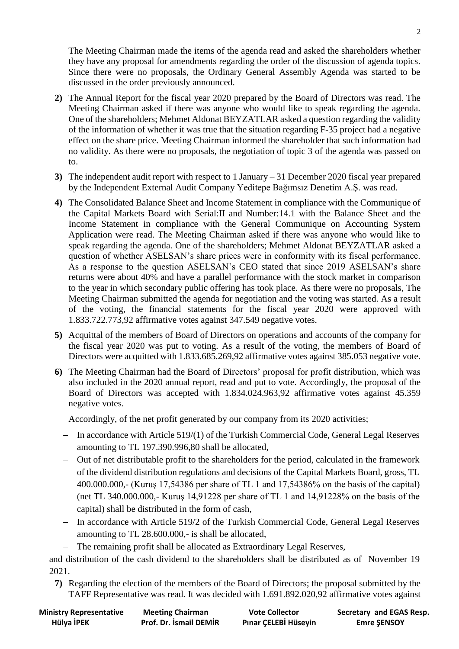The Meeting Chairman made the items of the agenda read and asked the shareholders whether they have any proposal for amendments regarding the order of the discussion of agenda topics. Since there were no proposals, the Ordinary General Assembly Agenda was started to be discussed in the order previously announced.

- **2)** The Annual Report for the fiscal year 2020 prepared by the Board of Directors was read. The Meeting Chairman asked if there was anyone who would like to speak regarding the agenda. One of the shareholders; Mehmet Aldonat BEYZATLAR asked a question regarding the validity of the information of whether it was true that the situation regarding F-35 project had a negative effect on the share price. Meeting Chairman informed the shareholder that such information had no validity. As there were no proposals, the negotiation of topic 3 of the agenda was passed on to.
- **3)** The independent audit report with respect to 1 January 31 December 2020 fiscal year prepared by the Independent External Audit Company Yeditepe Bağımsız Denetim A.Ş. was read.
- **4)** The Consolidated Balance Sheet and Income Statement in compliance with the Communique of the Capital Markets Board with Serial:II and Number:14.1 with the Balance Sheet and the Income Statement in compliance with the General Communique on Accounting System Application were read. The Meeting Chairman asked if there was anyone who would like to speak regarding the agenda. One of the shareholders; Mehmet Aldonat BEYZATLAR asked a question of whether ASELSAN's share prices were in conformity with its fiscal performance. As a response to the question ASELSAN's CEO stated that since 2019 ASELSAN's share returns were about 40% and have a parallel performance with the stock market in comparison to the year in which secondary public offering has took place. As there were no proposals, The Meeting Chairman submitted the agenda for negotiation and the voting was started. As a result of the voting, the financial statements for the fiscal year 2020 were approved with 1.833.722.773,92 affirmative votes against 347.549 negative votes.
- **5)** Acquittal of the members of Board of Directors on operations and accounts of the company for the fiscal year 2020 was put to voting. As a result of the voting, the members of Board of Directors were acquitted with 1.833.685.269,92 affirmative votes against 385.053 negative vote.
- **6)** The Meeting Chairman had the Board of Directors' proposal for profit distribution, which was also included in the 2020 annual report, read and put to vote. Accordingly, the proposal of the Board of Directors was accepted with 1.834.024.963,92 affirmative votes against 45.359 negative votes.

Accordingly, of the net profit generated by our company from its 2020 activities;

- − In accordance with Article 519/(1) of the Turkish Commercial Code, General Legal Reserves amounting to TL 197.390.996,80 shall be allocated,
- − Out of net distributable profit to the shareholders for the period, calculated in the framework of the dividend distribution regulations and decisions of the Capital Markets Board, gross, TL 400.000.000,- (Kuruş 17,54386 per share of TL 1 and 17,54386% on the basis of the capital) (net TL 340.000.000,- Kuruş 14,91228 per share of TL 1 and 14,91228% on the basis of the capital) shall be distributed in the form of cash,
- − In accordance with Article 519/2 of the Turkish Commercial Code, General Legal Reserves amounting to TL 28.600.000,- is shall be allocated,
- − The remaining profit shall be allocated as Extraordinary Legal Reserves,

and distribution of the cash dividend to the shareholders shall be distributed as of November 19 2021.

**7)** Regarding the election of the members of the Board of Directors; the proposal submitted by the TAFF Representative was read. It was decided with 1.691.892.020,92 affirmative votes against

| <b>Ministry Representative</b> | <b>Meeting Chairman</b> | <b>Vote Collector</b> | Secretary and EGAS Resp. |
|--------------------------------|-------------------------|-----------------------|--------------------------|
| Hülya İPEK                     | Prof. Dr. İsmail DEMİR  | Pınar ÇELEBİ Hüseyin  | <b>Emre ŞENSOY</b>       |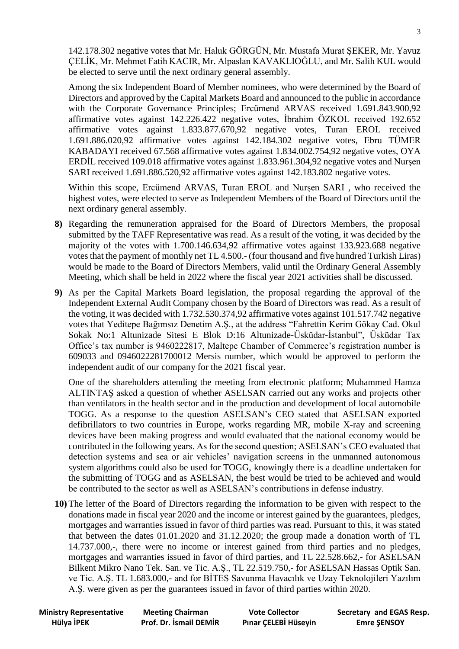142.178.302 negative votes that Mr. Haluk GÖRGÜN, Mr. Mustafa Murat ŞEKER, Mr. Yavuz ÇELİK, Mr. Mehmet Fatih KACIR, Mr. Alpaslan KAVAKLIOĞLU, and Mr. Salih KUL would be elected to serve until the next ordinary general assembly.

Among the six Independent Board of Member nominees, who were determined by the Board of Directors and approved by the Capital Markets Board and announced to the public in accordance with the Corporate Governance Principles; Ercümend ARVAS received 1.691.843.900,92 affirmative votes against 142.226.422 negative votes, İbrahim ÖZKOL received 192.652 affirmative votes against 1.833.877.670,92 negative votes, Turan EROL received 1.691.886.020,92 affirmative votes against 142.184.302 negative votes, Ebru TÜMER KABADAYI received 67.568 affirmative votes against 1.834.002.754,92 negative votes, OYA ERDİL received 109.018 affirmative votes against 1.833.961.304,92 negative votes and Nurşen SARI received 1.691.886.520,92 affirmative votes against 142.183.802 negative votes.

Within this scope, Ercümend ARVAS, Turan EROL and Nurşen SARI , who received the highest votes, were elected to serve as Independent Members of the Board of Directors until the next ordinary general assembly.

- **8)** Regarding the remuneration appraised for the Board of Directors Members, the proposal submitted by the TAFF Representative was read. As a result of the voting, it was decided by the majority of the votes with 1.700.146.634,92 affirmative votes against 133.923.688 negative votes that the payment of monthly net TL 4.500.- (four thousand and five hundred Turkish Liras) would be made to the Board of Directors Members, valid until the Ordinary General Assembly Meeting, which shall be held in 2022 where the fiscal year 2021 activities shall be discussed.
- **9)** As per the Capital Markets Board legislation, the proposal regarding the approval of the Independent External Audit Company chosen by the Board of Directors was read. As a result of the voting, it was decided with 1.732.530.374,92 affirmative votes against 101.517.742 negative votes that Yeditepe Bağımsız Denetim A.Ş., at the address "Fahrettin Kerim Gökay Cad. Okul Sokak No:1 Altunizade Sitesi E Blok D:16 Altunizade-Üsküdar-İstanbul", Üsküdar Tax Office's tax number is 9460222817, Maltepe Chamber of Commerce's registration number is 609033 and 0946022281700012 Mersis number, which would be approved to perform the independent audit of our company for the 2021 fiscal year.

One of the shareholders attending the meeting from electronic platform; Muhammed Hamza ALTINTAŞ asked a question of whether ASELSAN carried out any works and projects other than ventilators in the health sector and in the production and development of local automobile TOGG. As a response to the question ASELSAN's CEO stated that ASELSAN exported defibrillators to two countries in Europe, works regarding MR, mobile X-ray and screening devices have been making progress and would evaluated that the national economy would be contributed in the following years. As for the second question; ASELSAN's CEO evaluated that detection systems and sea or air vehicles' navigation screens in the unmanned autonomous system algorithms could also be used for TOGG, knowingly there is a deadline undertaken for the submitting of TOGG and as ASELSAN, the best would be tried to be achieved and would be contributed to the sector as well as ASELSAN's contributions in defense industry.

**10)** The letter of the Board of Directors regarding the information to be given with respect to the donations made in fiscal year 2020 and the income or interest gained by the guarantees, pledges, mortgages and warranties issued in favor of third parties was read. Pursuant to this, it was stated that between the dates 01.01.2020 and 31.12.2020; the group made a donation worth of TL 14.737.000,-, there were no income or interest gained from third parties and no pledges, mortgages and warranties issued in favor of third parties, and TL 22.528.662,- for ASELSAN Bilkent Mikro Nano Tek. San. ve Tic. A.Ş., TL 22.519.750,- for ASELSAN Hassas Optik San. ve Tic. A.Ş. TL 1.683.000,- and for BİTES Savunma Havacılık ve Uzay Teknolojileri Yazılım A.Ş. were given as per the guarantees issued in favor of third parties within 2020.

| <b>Ministry Representative</b> | <b>Meeting Chairman</b> | <b>Vote Collector</b> | Secretary and EGAS Resp. |
|--------------------------------|-------------------------|-----------------------|--------------------------|
| Hülya İPEK                     | Prof. Dr. İsmail DEMİR  | Pınar ÇELEBİ Hüseyin  | <b>Emre ŞENSOY</b>       |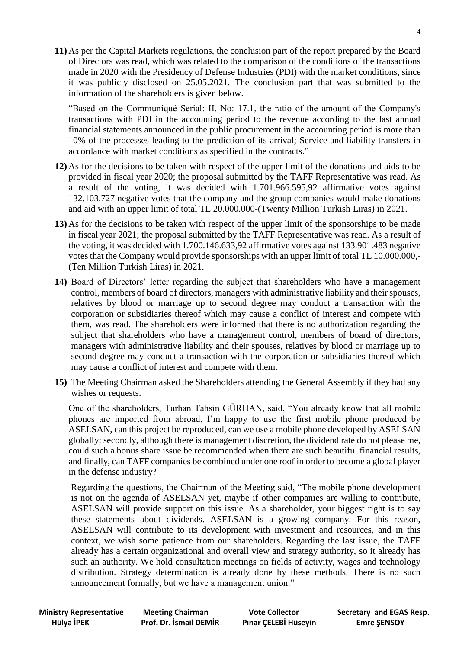**11)** As per the Capital Markets regulations, the conclusion part of the report prepared by the Board of Directors was read, which was related to the comparison of the conditions of the transactions made in 2020 with the Presidency of Defense Industries (PDI) with the market conditions, since it was publicly disclosed on 25.05.2021. The conclusion part that was submitted to the information of the shareholders is given below.

"Based on the Communiqué Serial: II, No: 17.1, the ratio of the amount of the Company's transactions with PDI in the accounting period to the revenue according to the last annual financial statements announced in the public procurement in the accounting period is more than 10% of the processes leading to the prediction of its arrival; Service and liability transfers in accordance with market conditions as specified in the contracts."

- **12)** As for the decisions to be taken with respect of the upper limit of the donations and aids to be provided in fiscal year 2020; the proposal submitted by the TAFF Representative was read. As a result of the voting, it was decided with 1.701.966.595,92 affirmative votes against 132.103.727 negative votes that the company and the group companies would make donations and aid with an upper limit of total TL 20.000.000-(Twenty Million Turkish Liras) in 2021.
- **13)** As for the decisions to be taken with respect of the upper limit of the sponsorships to be made in fiscal year 2021; the proposal submitted by the TAFF Representative was read. As a result of the voting, it was decided with 1.700.146.633,92 affirmative votes against 133.901.483 negative votes that the Company would provide sponsorships with an upper limit of total TL 10.000.000,- (Ten Million Turkish Liras) in 2021.
- **14)** Board of Directors' letter regarding the subject that shareholders who have a management control, members of board of directors, managers with administrative liability and their spouses, relatives by blood or marriage up to second degree may conduct a transaction with the corporation or subsidiaries thereof which may cause a conflict of interest and compete with them, was read. The shareholders were informed that there is no authorization regarding the subject that shareholders who have a management control, members of board of directors, managers with administrative liability and their spouses, relatives by blood or marriage up to second degree may conduct a transaction with the corporation or subsidiaries thereof which may cause a conflict of interest and compete with them.
- **15)** The Meeting Chairman asked the Shareholders attending the General Assembly if they had any wishes or requests.

One of the shareholders, Turhan Tahsin GÜRHAN, said, "You already know that all mobile phones are imported from abroad, I'm happy to use the first mobile phone produced by ASELSAN, can this project be reproduced, can we use a mobile phone developed by ASELSAN globally; secondly, although there is management discretion, the dividend rate do not please me, could such a bonus share issue be recommended when there are such beautiful financial results, and finally, can TAFF companies be combined under one roof in order to become a global player in the defense industry?

Regarding the questions, the Chairman of the Meeting said, "The mobile phone development is not on the agenda of ASELSAN yet, maybe if other companies are willing to contribute, ASELSAN will provide support on this issue. As a shareholder, your biggest right is to say these statements about dividends. ASELSAN is a growing company. For this reason, ASELSAN will contribute to its development with investment and resources, and in this context, we wish some patience from our shareholders. Regarding the last issue, the TAFF already has a certain organizational and overall view and strategy authority, so it already has such an authority. We hold consultation meetings on fields of activity, wages and technology distribution. Strategy determination is already done by these methods. There is no such announcement formally, but we have a management union."

 **Hülya İPEK Prof. Dr. İsmail DEMİR Pınar ÇELEBİ Hüseyin Emre ŞENSOY** 

**Ministry Representative Meeting Chairman Vote Collector Secretary and EGAS Resp.**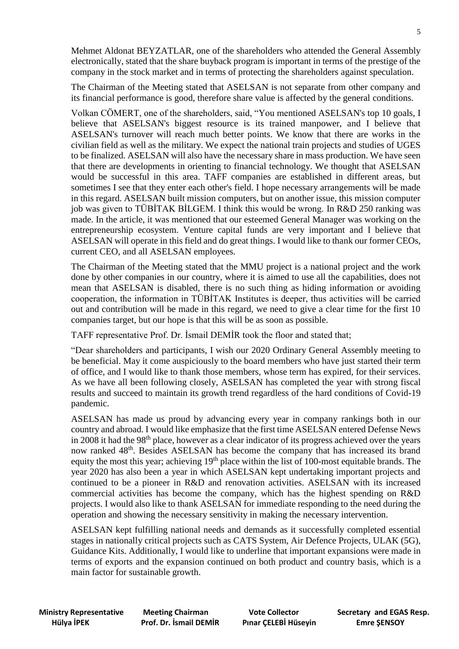Mehmet Aldonat BEYZATLAR, one of the shareholders who attended the General Assembly electronically, stated that the share buyback program is important in terms of the prestige of the company in the stock market and in terms of protecting the shareholders against speculation.

The Chairman of the Meeting stated that ASELSAN is not separate from other company and its financial performance is good, therefore share value is affected by the general conditions.

Volkan CÖMERT, one of the shareholders, said, "You mentioned ASELSAN's top 10 goals, I believe that ASELSAN's biggest resource is its trained manpower, and I believe that ASELSAN's turnover will reach much better points. We know that there are works in the civilian field as well as the military. We expect the national train projects and studies of UGES to be finalized. ASELSAN will also have the necessary share in mass production. We have seen that there are developments in orienting to financial technology. We thought that ASELSAN would be successful in this area. TAFF companies are established in different areas, but sometimes I see that they enter each other's field. I hope necessary arrangements will be made in this regard. ASELSAN built mission computers, but on another issue, this mission computer job was given to TÜBİTAK BİLGEM. I think this would be wrong. In R&D 250 ranking was made. In the article, it was mentioned that our esteemed General Manager was working on the entrepreneurship ecosystem. Venture capital funds are very important and I believe that ASELSAN will operate in this field and do great things. I would like to thank our former CEOs, current CEO, and all ASELSAN employees.

The Chairman of the Meeting stated that the MMU project is a national project and the work done by other companies in our country, where it is aimed to use all the capabilities, does not mean that ASELSAN is disabled, there is no such thing as hiding information or avoiding cooperation, the information in TÜBİTAK Institutes is deeper, thus activities will be carried out and contribution will be made in this regard, we need to give a clear time for the first 10 companies target, but our hope is that this will be as soon as possible.

TAFF representative Prof. Dr. İsmail DEMİR took the floor and stated that;

"Dear shareholders and participants, I wish our 2020 Ordinary General Assembly meeting to be beneficial. May it come auspiciously to the board members who have just started their term of office, and I would like to thank those members, whose term has expired, for their services. As we have all been following closely, ASELSAN has completed the year with strong fiscal results and succeed to maintain its growth trend regardless of the hard conditions of Covid-19 pandemic.

ASELSAN has made us proud by advancing every year in company rankings both in our country and abroad. I would like emphasize that the first time ASELSAN entered Defense News in 2008 it had the 98<sup>th</sup> place, however as a clear indicator of its progress achieved over the years now ranked 48<sup>th</sup>. Besides ASELSAN has become the company that has increased its brand equity the most this year; achieving 19<sup>th</sup> place within the list of 100-most equitable brands. The year 2020 has also been a year in which ASELSAN kept undertaking important projects and continued to be a pioneer in R&D and renovation activities. ASELSAN with its increased commercial activities has become the company, which has the highest spending on R&D projects. I would also like to thank ASELSAN for immediate responding to the need during the operation and showing the necessary sensitivity in making the necessary intervention.

ASELSAN kept fulfilling national needs and demands as it successfully completed essential stages in nationally critical projects such as CATS System, Air Defence Projects, ULAK (5G), Guidance Kits. Additionally, I would like to underline that important expansions were made in terms of exports and the expansion continued on both product and country basis, which is a main factor for sustainable growth.

 **Hülya İPEK Prof. Dr. İsmail DEMİR Pınar ÇELEBİ Hüseyin Emre ŞENSOY** 

**Ministry Representative Meeting Chairman Vote Collector Secretary and EGAS Resp.**